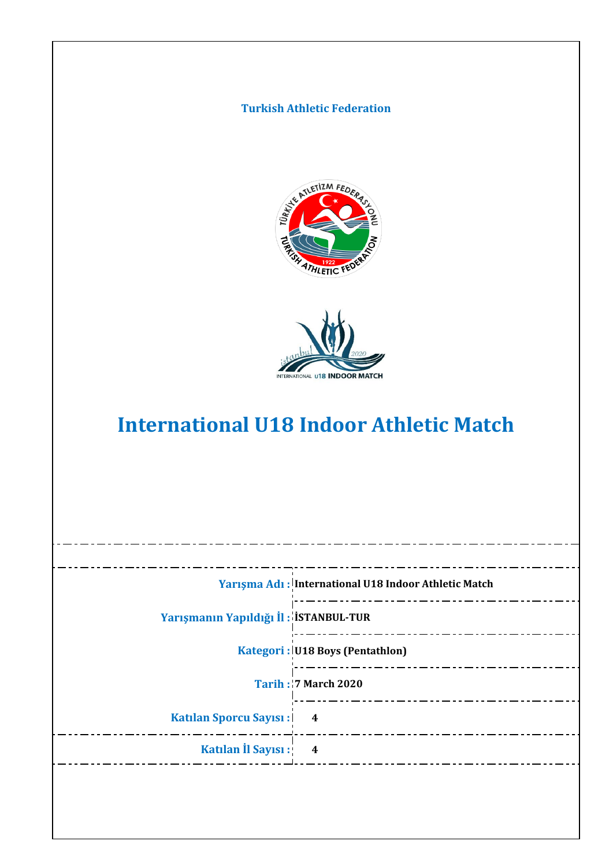



# **International U18 Indoor Athletic Match**

|                                       | Yarışma Adı: International U18 Indoor Athletic Match |
|---------------------------------------|------------------------------------------------------|
| Yarışmanın Yapıldığı İl: İSTANBUL-TUR |                                                      |
|                                       | Kategori: U18 Boys (Pentathlon)                      |
|                                       | <b>Tarih: 7 March 2020</b>                           |
| <b>Katılan Sporcu Sayısı:  </b>       | 4                                                    |
| Katılan İl Sayısı:                    | $\overline{\mathbf{4}}$                              |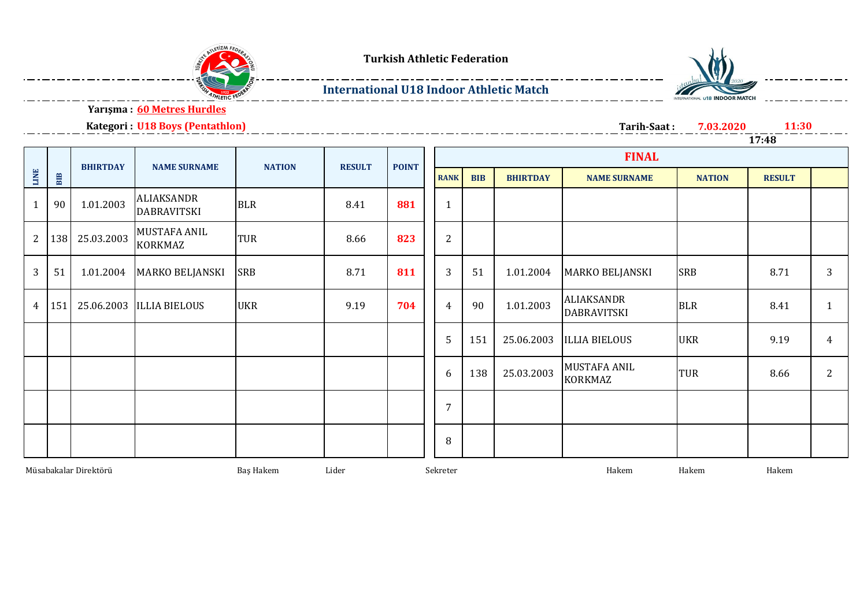



### **International U18 Indoor Athletic Match**



**Yarışma : 60 Metres Hurdles**

#### **Kategori : U18 Boys (Pentathlon)**

**Tarih-Saat : 7.03.2020 11:30 17:48**

|                |                                             | <b>BHIRTDAY</b> | <b>NAME SURNAME</b>                     | <b>NATION</b> | <b>RESULT</b> | <b>POINT</b> |                |            |                 |                                  |               |               |                |
|----------------|---------------------------------------------|-----------------|-----------------------------------------|---------------|---------------|--------------|----------------|------------|-----------------|----------------------------------|---------------|---------------|----------------|
| <b>LINE</b>    | BIB                                         |                 |                                         |               |               |              | <b>RANK</b>    | <b>BIB</b> | <b>BHIRTDAY</b> | <b>NAME SURNAME</b>              | <b>NATION</b> | <b>RESULT</b> |                |
| $\mathbf{1}$   | 90                                          | 1.01.2003       | <b>ALIAKSANDR</b><br><b>DABRAVITSKI</b> | <b>BLR</b>    | 8.41          | 881          | $\mathbf{1}$   |            |                 |                                  |               |               |                |
| $\mathbf{2}$   | 138                                         | 25.03.2003      | <b>MUSTAFA ANIL</b><br>KORKMAZ          | TUR           | 8.66          | 823          | 2              |            |                 |                                  |               |               |                |
| 3              | 51                                          | 1.01.2004       | <b>MARKO BELJANSKI</b>                  | <b>SRB</b>    | 8.71          | 811          | 3              | 51         | 1.01.2004       | <b>MARKO BELJANSKI</b>           | <b>SRB</b>    | 8.71          | 3              |
| $\overline{4}$ | 151                                         |                 | 25.06.2003 ILLIA BIELOUS                | <b>UKR</b>    | 9.19          | 704          | $\overline{4}$ | 90         | 1.01.2003       | ALIAKSANDR<br><b>DABRAVITSKI</b> | <b>BLR</b>    | 8.41          | $\mathbf{1}$   |
|                |                                             |                 |                                         |               |               |              | 5              | 151        | 25.06.2003      | <b>ILLIA BIELOUS</b>             | <b>UKR</b>    | 9.19          | $\overline{4}$ |
|                |                                             |                 |                                         |               |               |              | 6              | 138        | 25.03.2003      | MUSTAFA ANIL<br><b>KORKMAZ</b>   | TUR           | 8.66          | 2              |
|                |                                             |                 |                                         |               |               |              | $\overline{7}$ |            |                 |                                  |               |               |                |
|                |                                             |                 |                                         |               |               |              | 8              |            |                 |                                  |               |               |                |
|                | Müsabakalar Direktörü<br>Baş Hakem<br>Lider |                 |                                         |               |               |              | Sekreter       |            |                 | Hakem                            | Hakem         | Hakem         |                |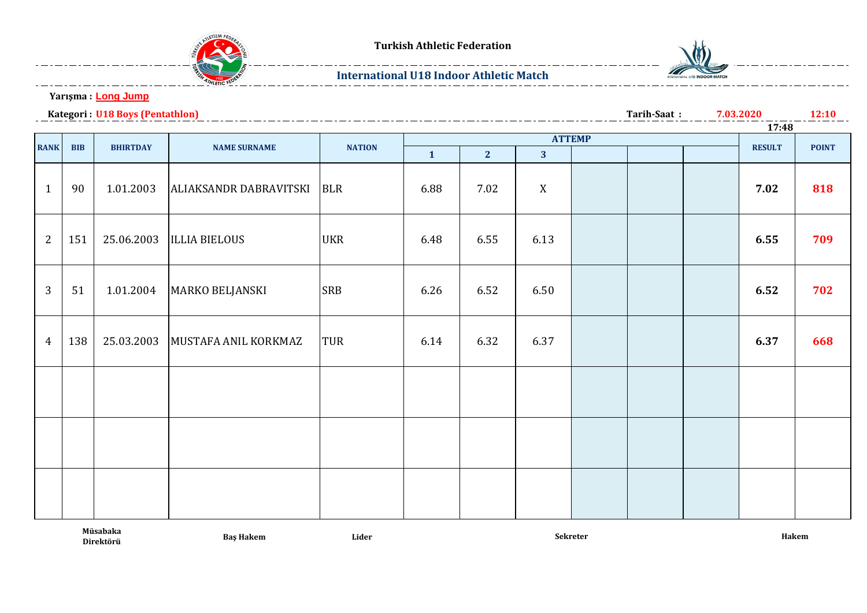

#### **International U18 Indoor Athletic Match**



**12:10**

**Yarışma : Long Jump**

**Kategori : U18 Boys (Pentathlon) 7.03.2020**

**Tarih-Saat :**

|                |            |                 | <b>ATTEMP</b>          |               |              |                |                         |  |  |  | 17:48         |              |
|----------------|------------|-----------------|------------------------|---------------|--------------|----------------|-------------------------|--|--|--|---------------|--------------|
|                |            |                 |                        |               |              |                |                         |  |  |  |               |              |
| <b>RANK</b>    | <b>BIB</b> | <b>BHIRTDAY</b> | <b>NAME SURNAME</b>    | <b>NATION</b> | $\mathbf{1}$ | 2 <sup>1</sup> | $\overline{\mathbf{3}}$ |  |  |  | <b>RESULT</b> | <b>POINT</b> |
| $\mathbf{1}$   | 90         | 1.01.2003       | ALIAKSANDR DABRAVITSKI | <b>BLR</b>    | 6.88         | 7.02           | X                       |  |  |  | 7.02          | 818          |
| 2              | 151        | 25.06.2003      | <b>ILLIA BIELOUS</b>   | <b>UKR</b>    | 6.48         | 6.55           | 6.13                    |  |  |  | 6.55          | 709          |
| 3              | 51         | 1.01.2004       | <b>MARKO BELJANSKI</b> | <b>SRB</b>    | 6.26         | 6.52           | 6.50                    |  |  |  | 6.52          | 702          |
| $\overline{4}$ | 138        | 25.03.2003      | MUSTAFA ANIL KORKMAZ   | TUR           | 6.14         | 6.32           | 6.37                    |  |  |  | 6.37          | 668          |
|                |            |                 |                        |               |              |                |                         |  |  |  |               |              |
|                |            |                 |                        |               |              |                |                         |  |  |  |               |              |
|                |            |                 |                        |               |              |                |                         |  |  |  |               |              |

**Müsabaka**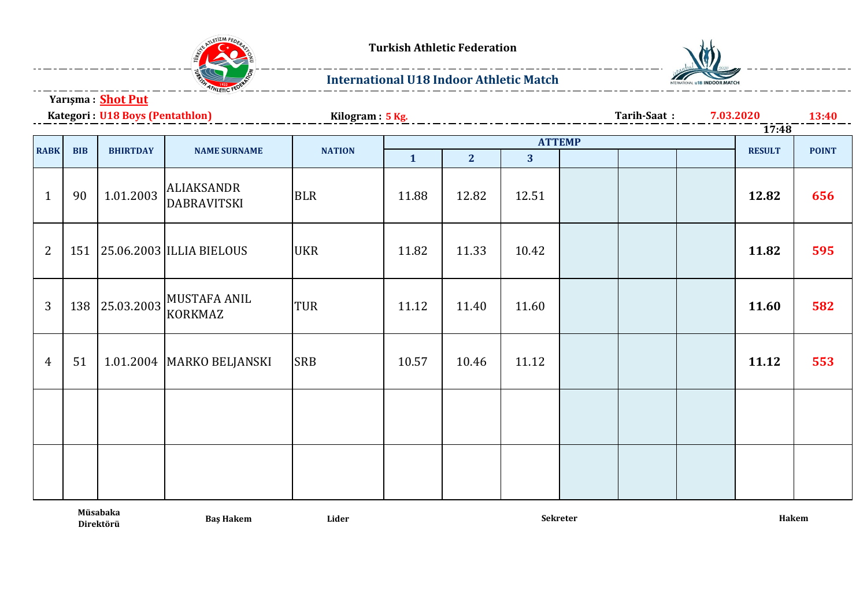

## **International U18 Indoor Athletic Match**



**Yarışma : Shot Put**

Kategori : *H18 Rovs (Pentathlon)* 

|                | Kategori: U18 Boys (Pentathlon) |                 |                                         | Kilogram: 5 Kg. |              | Tarih-Saat:    | 7.03.2020      |  | <b>13:40</b> |  |               |              |
|----------------|---------------------------------|-----------------|-----------------------------------------|-----------------|--------------|----------------|----------------|--|--------------|--|---------------|--------------|
|                |                                 | <b>ATTEMP</b>   |                                         |                 |              |                |                |  |              |  | 17:48         |              |
| <b>RABK</b>    | <b>BIB</b>                      | <b>BHIRTDAY</b> | <b>NAME SURNAME</b>                     | <b>NATION</b>   |              |                |                |  |              |  | <b>RESULT</b> | <b>POINT</b> |
|                |                                 |                 |                                         |                 | $\mathbf{1}$ | $\overline{2}$ | 3 <sup>1</sup> |  |              |  |               |              |
| $\mathbf{1}$   | 90                              | 1.01.2003       | <b>ALIAKSANDR</b><br><b>DABRAVITSKI</b> | <b>BLR</b>      | 11.88        | 12.82          | 12.51          |  |              |  | 12.82         | 656          |
| 2              | 151                             |                 | 25.06.2003 ILLIA BIELOUS                | <b>UKR</b>      | 11.82        | 11.33          | 10.42          |  |              |  | 11.82         | 595          |
| $\overline{3}$ | 138                             | 25.03.2003      | <b>MUSTAFA ANIL</b><br><b>KORKMAZ</b>   | <b>TUR</b>      | 11.12        | 11.40          | 11.60          |  |              |  | 11.60         | 582          |
| $\overline{4}$ | 51                              |                 | 1.01.2004   MARKO BELJANSKI             | <b>SRB</b>      | 10.57        | 10.46          | 11.12          |  |              |  | 11.12         | 553          |
|                |                                 |                 |                                         |                 |              |                |                |  |              |  |               |              |
|                |                                 |                 |                                         |                 |              |                |                |  |              |  |               |              |

**Müsabaka** 

**Baş Hakem Lider**

**Direktörü Sekreter Hakem**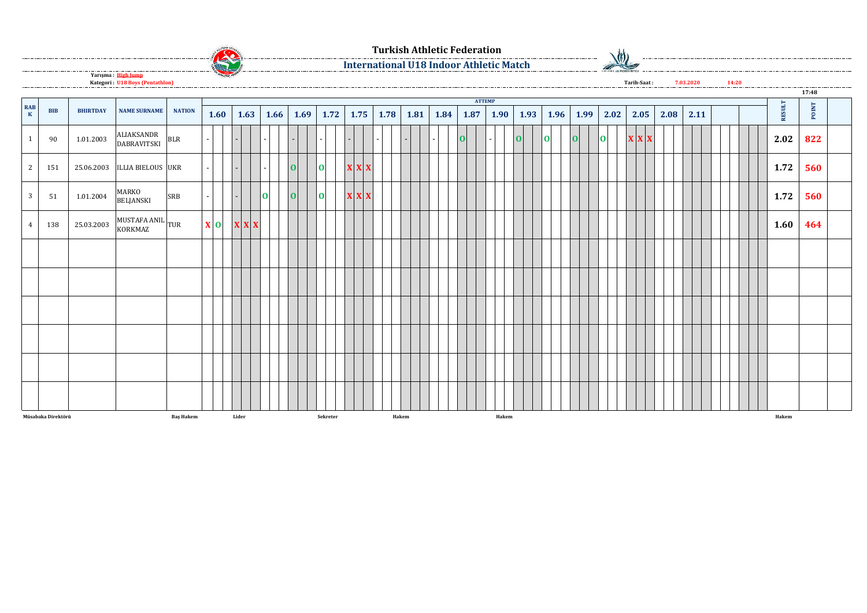

**International U18 Indoor Athletic Match**

 $\frac{1}{2}$ 

 $\overline{\phantom{a}}$ 

**Yarışma : High Jump Kategori : U18 Boys (Pentathlon)**

 $\begin{array}{|c|c|c|c|}\n\hline\n1 & 90 & 1.01.2003 & \text{ALIAKSANDR} \n\hline\nDABRAVITSKI\n\end{array}$ DABRAVITSKI BLR - - - - - - - - - **<sup>O</sup>** - **<sup>O</sup> <sup>O</sup> <sup>O</sup> <sup>O</sup> <sup>X</sup> <sup>X</sup> <sup>X</sup> 2.02 822** 2 151 25.06.2003 ILLIA BIELOUS UKR - - - **O O X X X 1.72 560** 3 51 1.01.2004 MARKO<br>BELJANSKI BELJANSKI SRB - - **<sup>O</sup> <sup>O</sup> <sup>O</sup> <sup>X</sup> <sup>X</sup> <sup>X</sup> 1.72 560**  $4 \mid 138 \mid 25.03.2003 \mid_{\text{KORKMAZ}}^{\text{MUSTAFA ANIL}}$  TUR KORKMAZ TUR **<sup>X</sup> <sup>O</sup> <sup>X</sup> <sup>X</sup> <sup>X</sup> 1.60 464 Müsabaka Direktörü Baş Hakem Lider Sekreter Hakem Hakem Hakem 2.02 2.05 BIB BHIRTDAY NAME SURNAME NATION 1.96 1.99 2.08 2.11 RESULT POINT RAB <sup>K</sup> 1.60 1.63 1.69 1.75 1.78 1.87 1.90 1.93 ATTEMP 1.66 1.72 1.81 1.84 17:48 Tarih-Saat : 7.03.2020 14:20**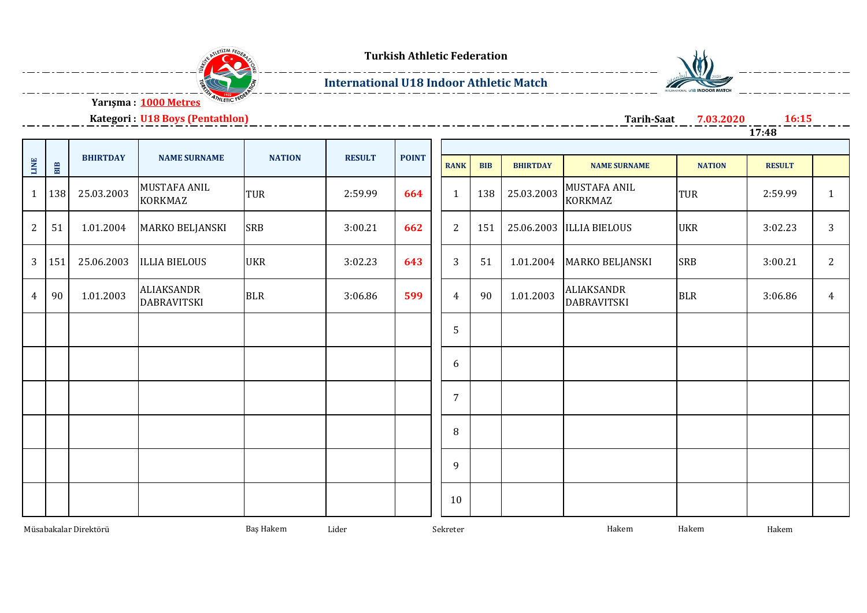

## **International U18 Indoor Athletic Match**



**Kategori : U18 Boys (Pentathlon)**

**Tarih-Saat 7.03.2020 16:15**

| .<br>______ | _______ |  |  |  |
|-------------|---------|--|--|--|
| ◢           | 7:48    |  |  |  |
|             |         |  |  |  |

| LINE                  | BIB | <b>BHIRTDAY</b> | <b>NAME SURNAME</b>                     | <b>NATION</b> | <b>RESULT</b> | <b>POINT</b> | <b>RANK</b>    | <b>BIB</b> | <b>BHIRTDAY</b> | <b>NAME SURNAME</b>                     | <b>NATION</b> | <b>RESULT</b> |                |
|-----------------------|-----|-----------------|-----------------------------------------|---------------|---------------|--------------|----------------|------------|-----------------|-----------------------------------------|---------------|---------------|----------------|
| $\mathbf{1}$          | 138 | 25.03.2003      | MUSTAFA ANIL<br><b>KORKMAZ</b>          | <b>TUR</b>    | 2:59.99       | 664          | 1              | 138        | 25.03.2003      | MUSTAFA ANIL<br><b>KORKMAZ</b>          | <b>TUR</b>    | 2:59.99       | $\mathbf{1}$   |
| $\overline{2}$        | 51  | 1.01.2004       | MARKO BELJANSKI                         | <b>SRB</b>    | 3:00.21       | 662          | 2              | 151        |                 | 25.06.2003  ILLIA BIELOUS               | <b>UKR</b>    | 3:02.23       | 3              |
| 3                     | 151 | 25.06.2003      | <b>ILLIA BIELOUS</b>                    | <b>UKR</b>    | 3:02.23       | 643          | $\mathbf{3}$   | 51         | 1.01.2004       | <b>MARKO BELJANSKI</b>                  | <b>SRB</b>    | 3:00.21       | $\overline{2}$ |
| $\overline{4}$        | 90  | 1.01.2003       | <b>ALIAKSANDR</b><br><b>DABRAVITSKI</b> | <b>BLR</b>    | 3:06.86       | 599          | 4              | 90         | 1.01.2003       | <b>ALIAKSANDR</b><br><b>DABRAVITSKI</b> | <b>BLR</b>    | 3:06.86       | $\overline{4}$ |
|                       |     |                 |                                         |               |               |              | 5              |            |                 |                                         |               |               |                |
|                       |     |                 |                                         |               |               |              | 6              |            |                 |                                         |               |               |                |
|                       |     |                 |                                         |               |               |              | $\overline{7}$ |            |                 |                                         |               |               |                |
|                       |     |                 |                                         |               |               |              | 8              |            |                 |                                         |               |               |                |
|                       |     |                 |                                         |               |               |              | 9              |            |                 |                                         |               |               |                |
|                       |     |                 |                                         |               |               |              | 10             |            |                 |                                         |               |               |                |
| Müsabakalar Direktörü |     |                 | Baş Hakem                               | Lider         |               | Sekreter     |                |            | Hakem           | Hakem                                   | Hakem         |               |                |